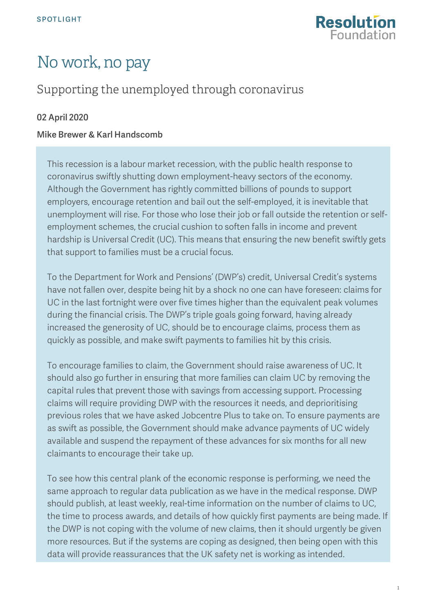

# No work, no pay

## Supporting the unemployed through coronavirus

#### 02 April 2020

#### Mike Brewer & Karl Handscomb

This recession is a labour market recession, with the public health response to coronavirus swiftly shutting down employment-heavy sectors of the economy. Although the Government has rightly committed billions of pounds to support employers, encourage retention and bail out the self-employed, it is inevitable that unemployment will rise. For those who lose their job or fall outside the retention or selfemployment schemes, the crucial cushion to soften falls in income and prevent hardship is Universal Credit (UC). This means that ensuring the new benefit swiftly gets that support to families must be a crucial focus.

To the Department for Work and Pensions' (DWP's) credit, Universal Credit's systems have not fallen over, despite being hit by a shock no one can have foreseen: claims for UC in the last fortnight were over five times higher than the equivalent peak volumes during the financial crisis. The DWP's triple goals going forward, having already increased the generosity of UC, should be to encourage claims, process them as quickly as possible, and make swift payments to families hit by this crisis.

To encourage families to claim, the Government should raise awareness of UC. It should also go further in ensuring that more families can claim UC by removing the capital rules that prevent those with savings from accessing support. Processing claims will require providing DWP with the resources it needs, and deprioritising previous roles that we have asked Jobcentre Plus to take on. To ensure payments are as swift as possible, the Government should make advance payments of UC widely available and suspend the repayment of these advances for six months for all new claimants to encourage their take up.

To see how this central plank of the economic response is performing, we need the same approach to regular data publication as we have in the medical response. DWP should publish, at least weekly, real-time information on the number of claims to UC, the time to process awards, and details of how quickly first payments are being made. If the DWP is not coping with the volume of new claims, then it should urgently be given more resources. But if the systems are coping as designed, then being open with this data will provide reassurances that the UK safety net is working as intended.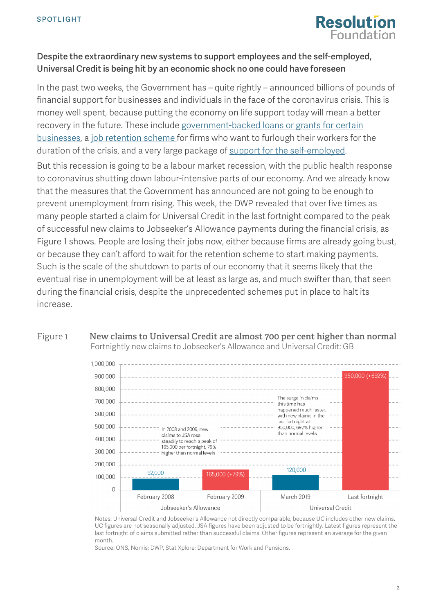

#### Despite the extraordinary new systems to support employees and the self-employed, Universal Credit is being hit by an economic shock no one could have foreseen

In the past two weeks, the Government has – quite rightly – announced billions of pounds of financial support for businesses and individuals in the face of the coronavirus crisis. This is money well spent, because putting the economy on life support today will mean a better recovery in the future. These include [government-backed loans or grants for certain](https://www.businesssupport.gov.uk/coronavirus-business-support/)  [businesses,](https://www.businesssupport.gov.uk/coronavirus-business-support/) a [job retention scheme](https://www.resolutionfoundation.org/publications/next-steps-to-support-family-incomes-in-the-face-of-the-coronavirus-crisis/) for firms who want to furlough their workers for the duration of the crisis, and [a very large package of support for the self-employed.](https://www.resolutionfoundation.org/comment/unprecedented-support-for-employees-wages-last-week-has-been-followed-up-by-equally-significant-and-even-more-generous-support-for-the-self-employed-but-gaps-remain/)

But this recession is going to be a labour market recession, with the public health response to coronavirus shutting down labour-intensive parts of our economy. And we already know that the measures that the Government has announced are not going to be enough to prevent unemployment from rising. This week, the DWP revealed that over five times as many people started a claim for Universal Credit in the last fortnight compared to the peak of successful new claims to Jobseeker's Allowance payments during the financial crisis, as [Figure 1](#page-1-0) shows. People are losing their jobs now, either because firms are already going bust, or because they can't afford to wait for the retention scheme to start making payments. Such is the scale of the shutdown to parts of our economy that it seems likely that the eventual rise in unemployment will be at least as large as, and much swifter than, that seen during the financial crisis, despite the unprecedented schemes put in place to halt its increase.

<span id="page-1-0"></span>Figure 1 **New claims to Universal Credit are almost 700 per cent higher than normal** Fortnightly new claims to Jobseeker's Allowance and Universal Credit: GB



Notes: Universal Credit and Jobseeker's Allowance not directly comparable, because UC includes other new claims. UC figures are not seasonally adjusted. JSA figures have been adjusted to be fortnightly. Latest figures represent the last fortnight of claims submitted rather than successful claims. Other figures represent an average for the given month.

Source: ONS, Nomis; DWP, Stat Xplore; Department for Work and Pensions.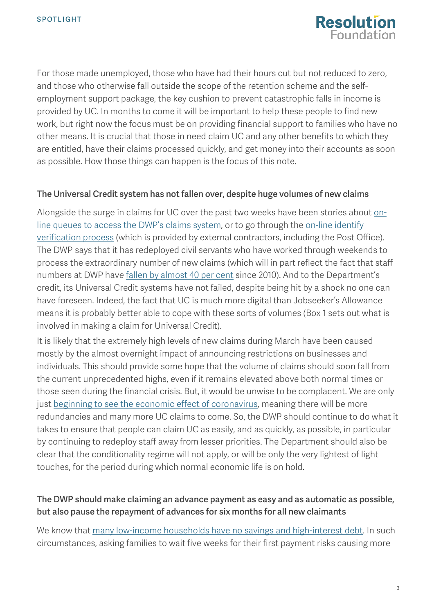

For those made unemployed, those who have had their hours cut but not reduced to zero, and those who otherwise fall outside the scope of the retention scheme and the selfemployment support package, the key cushion to prevent catastrophic falls in income is provided by UC. In months to come it will be important to help these people to find new work, but right now the focus must be on providing financial support to families who have no other means. It is crucial that those in need claim UC and any other benefits to which they are entitled, have their claims processed quickly, and get money into their accounts as soon as possible. How those things can happen is the focus of this note.

#### The Universal Credit system has not fallen over, despite huge volumes of new claims

Alongside the surge in claims for UC over the past two weeks have been stories about [on](https://twitter.com/DawnButlerBrent/status/1242450248171216897?s=20)[line queues to access the DWP's claims system,](https://twitter.com/DawnButlerBrent/status/1242450248171216897?s=20) or to go through the [on-line identify](https://www.computerweekly.com/news/252480546/Huge-queues-for-Universal-Credit-online-applications-due-to-coronavirus-surge)  [verification process](https://www.computerweekly.com/news/252480546/Huge-queues-for-Universal-Credit-online-applications-due-to-coronavirus-surge) (which is provided by external contractors, including the Post Office). The DWP says that it has redeployed civil servants who have worked through weekends to process the extraordinary number of new claims (which will in part reflect the fact that staff numbers at DWP have [fallen by almost 40 per cent](https://www.instituteforgovernment.org.uk/explainers/civil-service-staff-numbers) since 2010). And to the Department's credit, its Universal Credit systems have not failed, despite being hit by a shock no one can have foreseen. Indeed, the fact that UC is much more digital than Jobseeker's Allowance means it is probably better able to cope with these sorts of volumes [\(Box 1](#page-3-0) sets out what is involved in making a claim for Universal Credit).

It is likely that the extremely high levels of new claims during March have been caused mostly by the almost overnight impact of announcing restrictions on businesses and individuals. This should provide some hope that the volume of claims should soon fall from the current unprecedented highs, even if it remains elevated above both normal times or those seen during the financial crisis. But, it would be unwise to be complacent. We are only just [beginning to see the economic effect of coronavirus,](https://www.resolutionfoundation.org/publications/the-economic-effects-of-coronavirus-in-the-uk/) meaning there will be more redundancies and many more UC claims to come. So, the DWP should continue to do what it takes to ensure that people can claim UC as easily, and as quickly, as possible, in particular by continuing to redeploy staff away from lesser priorities. The Department should also be clear that the conditionality regime will not apply, or will be only the very lightest of light touches, for the period during which normal economic life is on hold.

#### The DWP should make claiming an advance payment as easy and as automatic as possible, but also pause the repayment of advances for six months for all new claimants

We know that [many low-income households have no savings and high-interest debt.](https://www.resolutionfoundation.org/publications/an-outstanding-balance/) In such circumstances, asking families to wait five weeks for their first payment risks causing more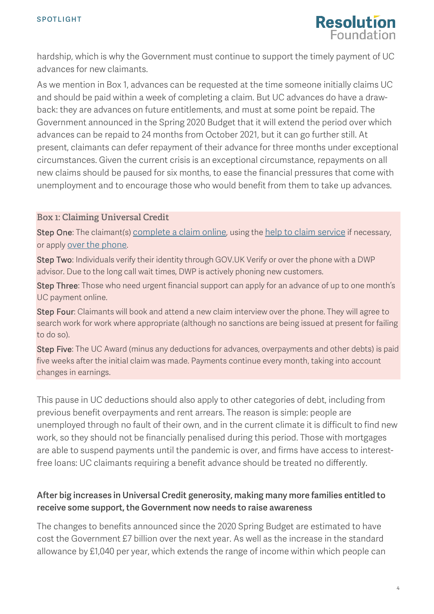

hardship, which is why the Government must continue to support the timely payment of UC advances for new claimants.

As we mention in [Box 1,](#page-3-0) advances can be requested at the time someone initially claims UC and should be paid within a week of completing a claim. But UC advances do have a drawback: they are advances on future entitlements, and must at some point be repaid. The Government announced in the Spring 2020 Budget that it will extend the period over which advances can be repaid to 24 months from October 2021, but it can go further still. At present, claimants can defer repayment of their advance for three months under exceptional circumstances. Given the current crisis is an exceptional circumstance, repayments on all new claims should be paused for six months, to ease the financial pressures that come with unemployment and to encourage those who would benefit from them to take up advances.

#### <span id="page-3-0"></span>**Box 1: Claiming Universal Credit**

Step One: The claimant(s) [complete a claim online,](https://www.gov.uk/universal-credit/how-to-claim) using th[e help to claim service](https://www.understandinguniversalcredit.gov.uk/making-a-claim/before-you-claim/) if necessary, or apply [over the phone.](https://www.understandinguniversalcredit.gov.uk/already-claimed/helpline/)

Step Two: Individuals verify their identity through GOV.UK Verify or over the phone with a DWP advisor. Due to the long call wait times, DWP is actively phoning new customers.

Step Three: Those who need urgent financial support can apply for an advance of up to one month's UC payment online.

Step Four: Claimants will book and attend a new claim interview over the phone. They will agree to search work for work where appropriate (although no sanctions are being issued at present for failing to do so).

Step Five: The UC Award (minus any deductions for advances, overpayments and other debts) is paid five weeks after the initial claim was made. Payments continue every month, taking into account changes in earnings.

This pause in UC deductions should also apply to other categories of debt, including from previous benefit overpayments and rent arrears. The reason is simple: people are unemployed through no fault of their own, and in the current climate it is difficult to find new work, so they should not be financially penalised during this period. Those with mortgages are able to suspend payments until the pandemic is over, and firms have access to interestfree loans: UC claimants requiring a benefit advance should be treated no differently.

### After big increases in Universal Credit generosity, making many more families entitled to receive some support, the Government now needs to raise awareness

The changes to benefits announced since the 2020 Spring Budget are estimated to have cost the Government £7 billion over the next year. As well as the increase in the standard allowance by £1,040 per year, which extends the range of income within which people can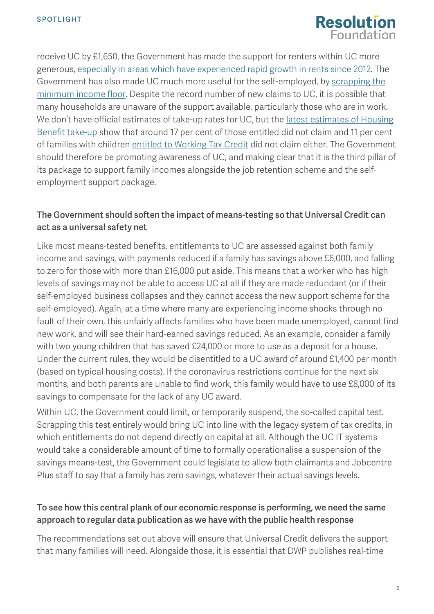

receive UC by £1,650, the Government has made the support for renters within UC more generous, [especially in areas which have experienced](https://www.resolutionfoundation.org/comment/key-take-aways-chancellors-package-of-measures-to-support-workers-coronavirus-crisis/) rapid growth in rents since 2012. The Government has also made UC much more useful for the self-employed, by [scrapping the](https://www.resolutionfoundation.org/comment/key-take-aways-chancellors-package-of-measures-to-support-workers-coronavirus-crisis/)  [minimum income floor.](https://www.resolutionfoundation.org/comment/key-take-aways-chancellors-package-of-measures-to-support-workers-coronavirus-crisis/) Despite the record number of new claims to UC, it is possible that many households are unaware of the support available, particularly those who are in work. We don't have official estimates of take-up rates for UC, but the [latest estimates of Housing](https://www.gov.uk/government/collections/income-related-benefits-estimates-of-take-up--2)  [Benefit take-up](https://www.gov.uk/government/collections/income-related-benefits-estimates-of-take-up--2) show that around 17 per cent of those entitled did not claim and 11 per cent of families with children [entitled to Working Tax Credit](https://www.gov.uk/government/statistics/child-benefit-child-tax-credit-ctc-and-working-tax-credit-wtc-take-up-rates-2017-to-2018) did not claim either. The Government should therefore be promoting awareness of UC, and making clear that it is the third pillar of its package to support family incomes alongside the job retention scheme and the selfemployment support package.

#### The Government should soften the impact of means-testing so that Universal Credit can act as a universal safety net

Like most means-tested benefits, entitlements to UC are assessed against both family income and savings, with payments reduced if a family has savings above £6,000, and falling to zero for those with more than £16,000 put aside. This means that a worker who has high levels of savings may not be able to access UC at all if they are made redundant (or if their self-employed business collapses and they cannot access the new support scheme for the self-employed). Again, at a time where many are experiencing income shocks through no fault of their own, this unfairly affects families who have been made unemployed, cannot find new work, and will see their hard-earned savings reduced. As an example, consider a family with two young children that has saved £24,000 or more to use as a deposit for a house. Under the current rules, they would be disentitled to a UC award of around £1,400 per month (based on typical housing costs). If the coronavirus restrictions continue for the next six months, and both parents are unable to find work, this family would have to use £8,000 of its savings to compensate for the lack of any UC award.

Within UC, the Government could limit, or temporarily suspend, the so-called capital test. Scrapping this test entirely would bring UC into line with the legacy system of tax credits, in which entitlements do not depend directly on capital at all. Although the UC IT systems would take a considerable amount of time to formally operationalise a suspension of the savings means-test, the Government could legislate to allow both claimants and Jobcentre Plus staff to say that a family has zero savings, whatever their actual savings levels.

#### To see how this central plank of our economic response is performing, we need the same approach to regular data publication as we have with the public health response

The recommendations set out above will ensure that Universal Credit delivers the support that many families will need. Alongside those, it is essential that DWP publishes real-time